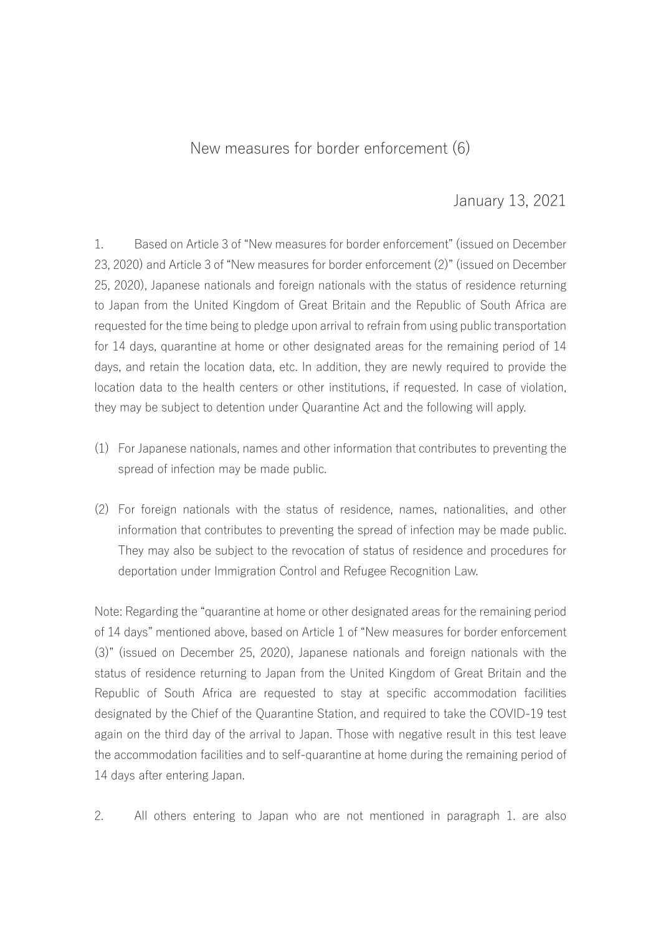## New measures for border enforcement (6)

## January 13, 2021

1. Based on Article 3 of "New measures for border enforcement" (issued on December 23, 2020) and Article 3 of "New measures for border enforcement (2)" (issued on December 25, 2020), Japanese nationals and foreign nationals with the status of residence returning to Japan from the United Kingdom of Great Britain and the Republic of South Africa are requested for the time being to pledge upon arrival to refrain from using public transportation for 14 days, quarantine at home or other designated areas for the remaining period of 14 days, and retain the location data, etc. In addition, they are newly required to provide the location data to the health centers or other institutions, if requested. In case of violation, they may be subject to detention under Quarantine Act and the following will apply.

- (1) For Japanese nationals, names and other information that contributes to preventing the spread of infection may be made public.
- (2) For foreign nationals with the status of residence, names, nationalities, and other information that contributes to preventing the spread of infection may be made public. They may also be subject to the revocation of status of residence and procedures for deportation under Immigration Control and Refugee Recognition Law.

Note: Regarding the "quarantine at home or other designated areas for the remaining period of 14 days" mentioned above, based on Article 1 of "New measures for border enforcement (3)" (issued on December 25, 2020), Japanese nationals and foreign nationals with the status of residence returning to Japan from the United Kingdom of Great Britain and the Republic of South Africa are requested to stay at specific accommodation facilities designated by the Chief of the Quarantine Station, and required to take the COVID-19 test again on the third day of the arrival to Japan. Those with negative result in this test leave the accommodation facilities and to self-quarantine at home during the remaining period of 14 days after entering Japan.

2. All others entering to Japan who are not mentioned in paragraph 1. are also